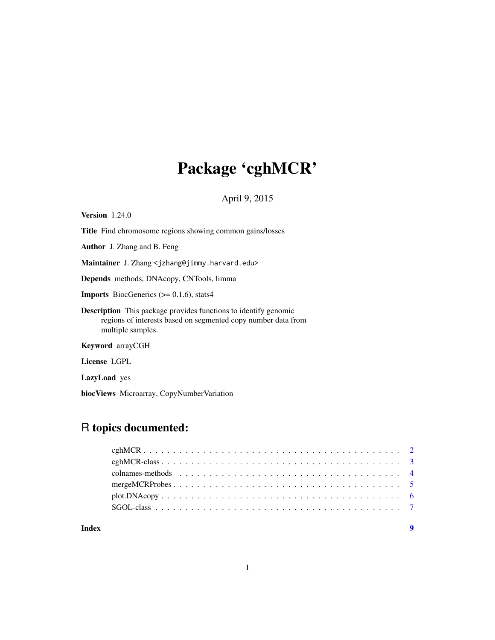# Package 'cghMCR'

April 9, 2015

Version 1.24.0 Title Find chromosome regions showing common gains/losses Author J. Zhang and B. Feng Maintainer J. Zhang <jzhang@jimmy.harvard.edu> Depends methods, DNAcopy, CNTools, limma **Imports** BiocGenerics  $(>= 0.1.6)$ , stats4 Description This package provides functions to identify genomic regions of interests based on segmented copy number data from multiple samples.

Keyword arrayCGH

License LGPL

LazyLoad yes

biocViews Microarray, CopyNumberVariation

## R topics documented:

| Index | $\mathbf Q$ |
|-------|-------------|
|       |             |
|       |             |
|       |             |
|       |             |
|       |             |
|       |             |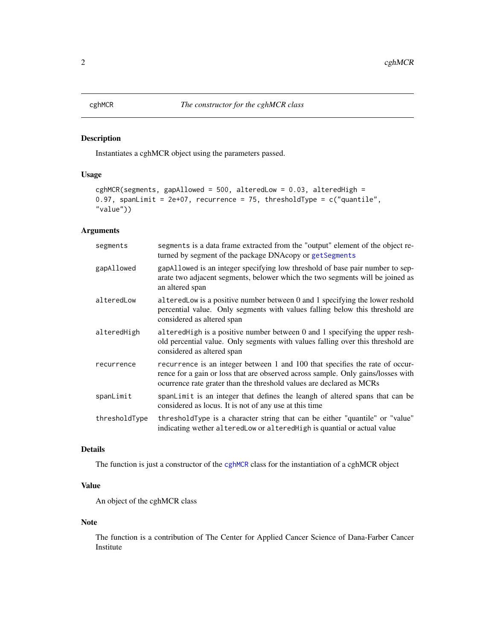#### <span id="page-1-1"></span><span id="page-1-0"></span>Description

Instantiates a cghMCR object using the parameters passed.

#### Usage

```
cghMCR(segments, gapAllowed = 500, alteredLow = 0.03, alteredHigh =
0.97, spanLimit = 2e+07, recurrence = 75, thresholdType = c("quantile","value"))
```
#### Arguments

| segments      | segments is a data frame extracted from the "output" element of the object re-<br>turned by segment of the package DNAcopy or getSegments                                                                                                |
|---------------|------------------------------------------------------------------------------------------------------------------------------------------------------------------------------------------------------------------------------------------|
| gapAllowed    | gap Allowed is an integer specifying low threshold of base pair number to sep-<br>arate two adjacent segments, belower which the two segments will be joined as<br>an altered span                                                       |
| alteredLow    | altered Low is a positive number between 0 and 1 specifying the lower reshold<br>percential value. Only segments with values falling below this threshold are<br>considered as altered span                                              |
| alteredHigh   | altered High is a positive number between 0 and 1 specifying the upper resh-<br>old percential value. Only segments with values falling over this threshold are<br>considered as altered span                                            |
| recurrence    | recurrence is an integer between 1 and 100 that specifies the rate of occur-<br>rence for a gain or loss that are observed across sample. Only gains/losses with<br>ocurrence rate grater than the threshold values are declared as MCRs |
| spanLimit     | spanlimit is an integer that defines the leangh of altered spans that can be<br>considered as locus. It is not of any use at this time                                                                                                   |
| thresholdType | threshold Type is a character string that can be either "quantile" or "value"<br>indicating wether altered Low or altered High is quantial or actual value                                                                               |

#### Details

The function is just a constructor of the [cghMCR](#page-1-1) class for the instantiation of a cghMCR object

#### Value

An object of the cghMCR class

#### Note

The function is a contribution of The Center for Applied Cancer Science of Dana-Farber Cancer Institute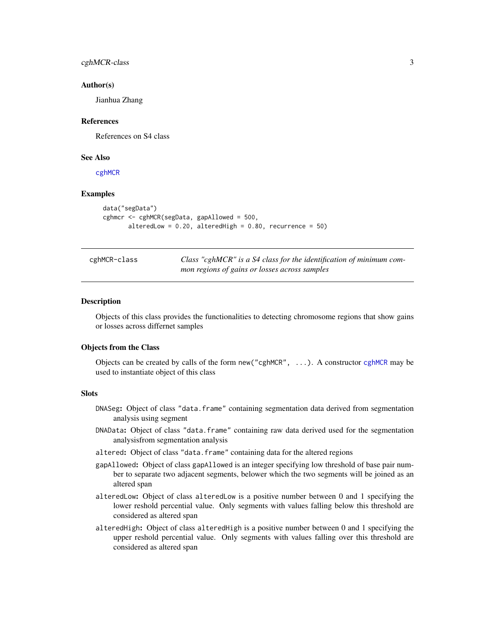#### <span id="page-2-0"></span>cghMCR-class 3

#### Author(s)

Jianhua Zhang

#### References

References on S4 class

#### See Also

[cghMCR](#page-1-1)

#### Examples

```
data("segData")
cghmcr <- cghMCR(segData, gapAllowed = 500,
       alteredLow = 0.20, alteredHigh = 0.80, recurrence = 50)
```
cghMCR-class *Class "cghMCR" is a S4 class for the identification of minimum common regions of gains or losses across samples*

#### <span id="page-2-1"></span>Description

Objects of this class provides the functionalities to detecting chromosome regions that show gains or losses across differnet samples

#### Objects from the Class

Objects can be created by calls of the form new("cghMCR", ...). A constructor [cghMCR](#page-1-1) may be used to instantiate object of this class

#### **Slots**

- DNASeg: Object of class "data.frame" containing segmentation data derived from segmentation analysis using segment
- DNAData: Object of class "data.frame" containing raw data derived used for the segmentation analysisfrom segmentation analysis
- altered: Object of class "data.frame" containing data for the altered regions
- gapAllowed: Object of class gapAllowed is an integer specifying low threshold of base pair number to separate two adjacent segments, belower which the two segments will be joined as an altered span
- alteredLow: Object of class alteredLow is a positive number between 0 and 1 specifying the lower reshold percential value. Only segments with values falling below this threshold are considered as altered span
- alteredHigh: Object of class alteredHigh is a positive number between 0 and 1 specifying the upper reshold percential value. Only segments with values falling over this threshold are considered as altered span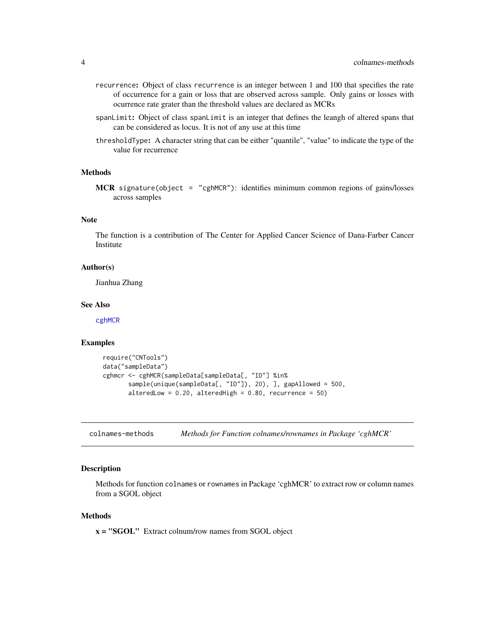- <span id="page-3-0"></span>recurrence: Object of class recurrence is an integer between 1 and 100 that specifies the rate of occurrence for a gain or loss that are observed across sample. Only gains or losses with ocurrence rate grater than the threshold values are declared as MCRs
- spanLimit: Object of class spanLimit is an integer that defines the leangh of altered spans that can be considered as locus. It is not of any use at this time
- thresholdType: A character string that can be either "quantile", "value" to indicate the type of the value for recurrence

#### Methods

MCR signature(object = "cghMCR"): identifies minimum common regions of gains/losses across samples

#### Note

The function is a contribution of The Center for Applied Cancer Science of Dana-Farber Cancer Institute

#### Author(s)

Jianhua Zhang

#### See Also

[cghMCR](#page-1-1)

#### Examples

```
require("CNTools")
data("sampleData")
cghmcr <- cghMCR(sampleData[sampleData[, "ID"] %in%
       sample(unique(sampleData[, "ID"]), 20), ], gapAllowed = 500,
       alteredLow = 0.20, alteredHigh = 0.80, recurrence = 50)
```
colnames-methods *Methods for Function colnames/rownames in Package 'cghMCR'*

#### Description

Methods for function colnames or rownames in Package 'cghMCR' to extract row or column names from a SGOL object

#### Methods

x = "SGOL" Extract colnum/row names from SGOL object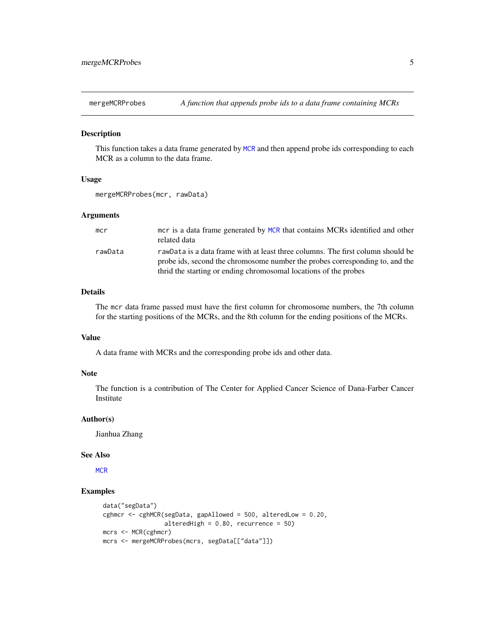<span id="page-4-0"></span>

#### Description

This function takes a data frame generated by [MCR](#page-2-1) and then append probe ids corresponding to each MCR as a column to the data frame.

#### Usage

```
mergeMCRProbes(mcr, rawData)
```
#### **Arguments**

| mcr     | mcr is a data frame generated by MCR that contains MCRs identified and other<br>related data                                                                                                                                        |
|---------|-------------------------------------------------------------------------------------------------------------------------------------------------------------------------------------------------------------------------------------|
| rawData | rawData is a data frame with at least three columns. The first column should be<br>probe ids, second the chromosome number the probes corresponding to, and the<br>thrid the starting or ending chromosomal locations of the probes |

#### Details

The mcr data frame passed must have the first column for chromosome numbers, the 7th column for the starting positions of the MCRs, and the 8th column for the ending positions of the MCRs.

#### Value

A data frame with MCRs and the corresponding probe ids and other data.

#### Note

The function is a contribution of The Center for Applied Cancer Science of Dana-Farber Cancer Institute

#### Author(s)

Jianhua Zhang

#### See Also

**[MCR](#page-2-1)** 

#### Examples

```
data("segData")
cghmcr <- cghMCR(segData, gapAllowed = 500, alteredLow = 0.20,
                 alteredHigh = 0.80, recurrence = 50)
mcrs <- MCR(cghmcr)
mcrs <- mergeMCRProbes(mcrs, segData[["data"]])
```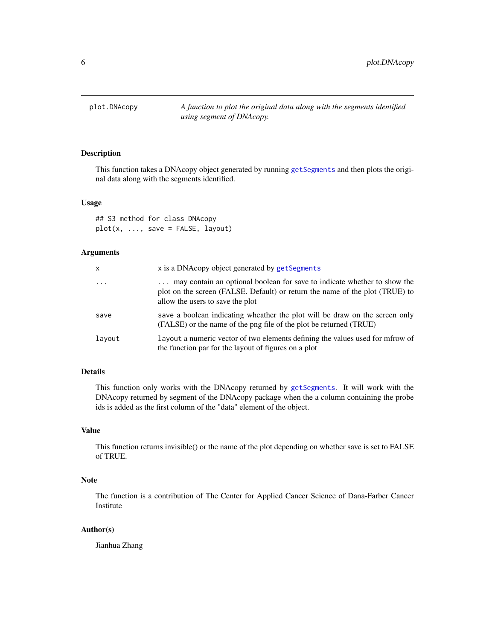<span id="page-5-0"></span>

#### Description

This function takes a DNAcopy object generated by running [getSegments](#page-2-1) and then plots the original data along with the segments identified.

#### Usage

## S3 method for class DNAcopy  $plot(x, ..., save = FALSE, layout)$ 

#### Arguments

| x        | x is a DNAcopy object generated by getSegments                                                                                                                                               |
|----------|----------------------------------------------------------------------------------------------------------------------------------------------------------------------------------------------|
| $\cdots$ | may contain an optional boolean for save to indicate whether to show the<br>plot on the screen (FALSE. Default) or return the name of the plot (TRUE) to<br>allow the users to save the plot |
| save     | save a boolean indicating wheather the plot will be draw on the screen only<br>(FALSE) or the name of the png file of the plot be returned (TRUE)                                            |
| layout   | Layout a numeric vector of two elements defining the values used for mfrow of<br>the function par for the layout of figures on a plot                                                        |

#### Details

This function only works with the DNAcopy returned by [getSegments](#page-2-1). It will work with the DNAcopy returned by segment of the DNAcopy package when the a column containing the probe ids is added as the first column of the "data" element of the object.

#### Value

This function returns invisible() or the name of the plot depending on whether save is set to FALSE of TRUE.

#### Note

The function is a contribution of The Center for Applied Cancer Science of Dana-Farber Cancer Institute

#### Author(s)

Jianhua Zhang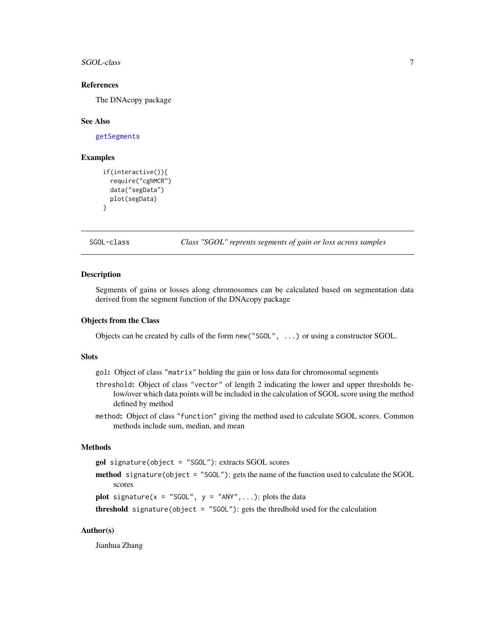<span id="page-6-0"></span>SGOL-class 7

#### References

The DNAcopy package

#### See Also

[getSegments](#page-2-1)

#### Examples

```
if(interactive()){
  require("cghMCR")
  data("segData")
  plot(segData)
}
```
SGOL-class *Class "SGOL" reprents segments of gain or loss across samples*

#### Description

Segments of gains or losses along chromosomes can be calculated based on segmentation data derived from the segment function of the DNAcopy package

#### Objects from the Class

Objects can be created by calls of the form new("SGOL", ...) or using a constructor SGOL.

#### **Slots**

gol: Object of class "matrix" holding the gain or loss data for chromosomal segments

- threshold: Object of class "vector" of length 2 indicating the lower and upper thresholds below/over which data points will be included in the calculation of SGOL score using the method defined by method
- method: Object of class "function" giving the method used to calculate SGOL scores. Common methods include sum, median, and mean

#### Methods

gol signature(object = "SGOL"): extracts SGOL scores

method signature(object = "SGOL"): gets the name of the function used to calculate the SGOL scores

**plot** signature( $x =$  "SGOL",  $y =$  "ANY", ...): plots the data

```
threshold signature(object = "SGOL"): gets the thredhold used for the calculation
```
#### Author(s)

Jianhua Zhang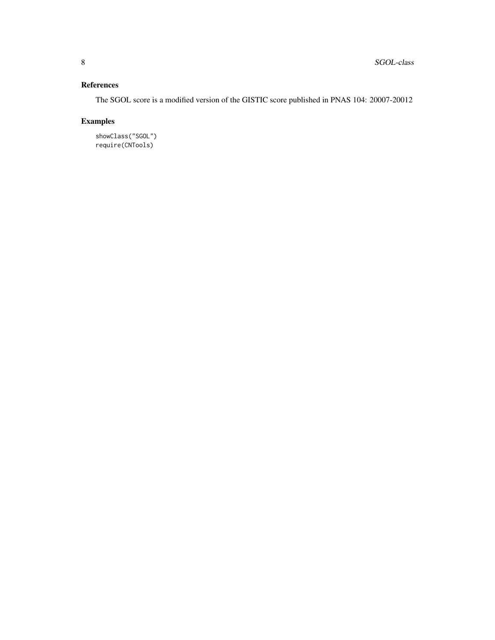### References

The SGOL score is a modified version of the GISTIC score published in PNAS 104: 20007-20012

### Examples

showClass("SGOL") require(CNTools)